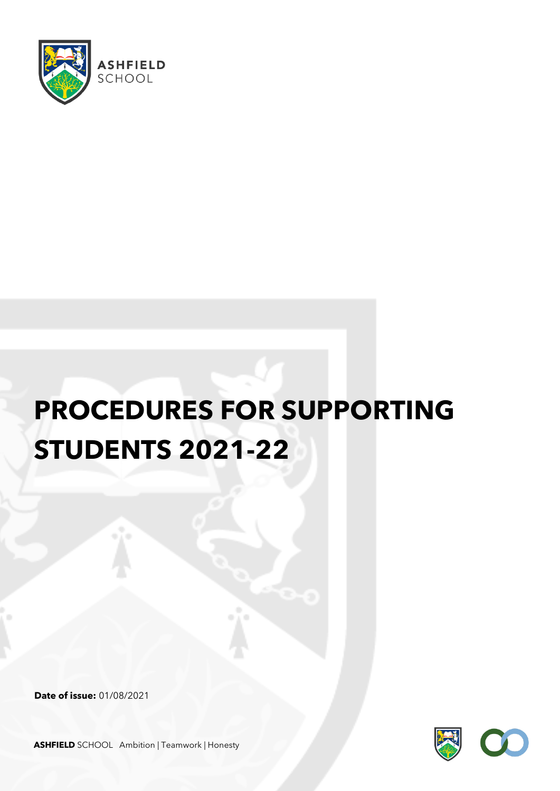

## **PROCEDURES FOR SUPPORTING STUDENTS 2021-22**

**Date of issue:** 01/08/2021



**ASHFIELD** SCHOOL Ambition | Teamwork | Honesty